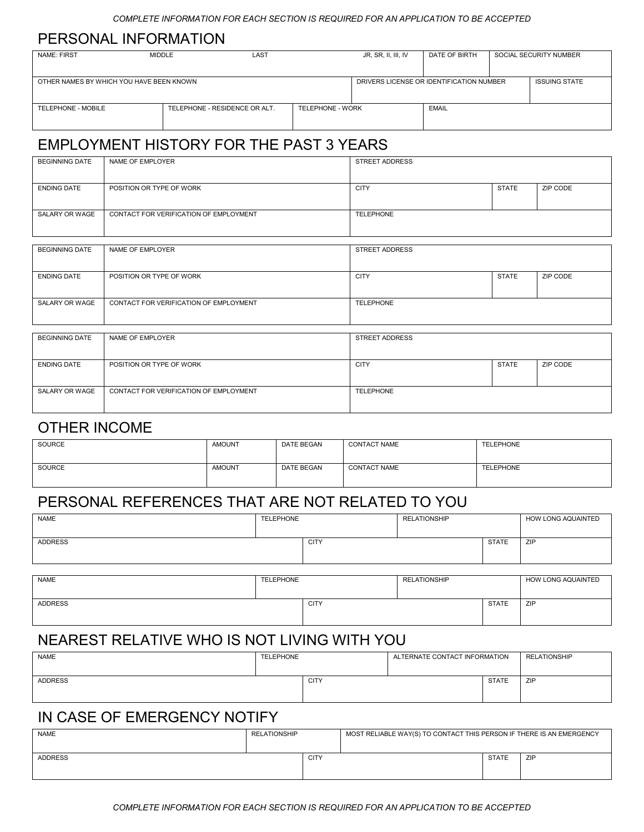#### PERSONAL INFORMATION

| <b>NAME: FIRST</b>                       | MIDDLE | LAST                          |                  | JR, SR, II, III, IV                      | DATE OF BIRTH |  | SOCIAL SECURITY NUMBER |
|------------------------------------------|--------|-------------------------------|------------------|------------------------------------------|---------------|--|------------------------|
|                                          |        |                               |                  |                                          |               |  |                        |
|                                          |        |                               |                  |                                          |               |  |                        |
|                                          |        |                               |                  |                                          |               |  |                        |
|                                          |        |                               |                  |                                          |               |  |                        |
| OTHER NAMES BY WHICH YOU HAVE BEEN KNOWN |        |                               |                  | DRIVERS LICENSE OR IDENTIFICATION NUMBER |               |  | <b>ISSUING STATE</b>   |
|                                          |        |                               |                  |                                          |               |  |                        |
|                                          |        |                               |                  |                                          |               |  |                        |
|                                          |        |                               |                  |                                          |               |  |                        |
|                                          |        |                               |                  |                                          |               |  |                        |
| TELEPHONE - MOBILE                       |        | TELEPHONE - RESIDENCE OR ALT. | TELEPHONE - WORK |                                          | EMAIL         |  |                        |
|                                          |        |                               |                  |                                          |               |  |                        |
|                                          |        |                               |                  |                                          |               |  |                        |
|                                          |        |                               |                  |                                          |               |  |                        |

# EMPLOYMENT HISTORY FOR THE PAST 3 YEARS

| <b>BEGINNING DATE</b> | NAME OF EMPLOYER                       | STREET ADDRESS   |              |          |
|-----------------------|----------------------------------------|------------------|--------------|----------|
|                       |                                        |                  |              |          |
| <b>ENDING DATE</b>    | POSITION OR TYPE OF WORK               | <b>CITY</b>      | <b>STATE</b> | ZIP CODE |
|                       |                                        |                  |              |          |
| SALARY OR WAGE        | CONTACT FOR VERIFICATION OF EMPLOYMENT | <b>TELEPHONE</b> |              |          |
|                       |                                        |                  |              |          |

| <b>BEGINNING DATE</b> | NAME OF EMPLOYER                       | STREET ADDRESS   |              |          |
|-----------------------|----------------------------------------|------------------|--------------|----------|
|                       |                                        |                  |              |          |
| <b>ENDING DATE</b>    | POSITION OR TYPE OF WORK               | <b>CITY</b>      | <b>STATE</b> | ZIP CODE |
|                       |                                        |                  |              |          |
| SALARY OR WAGE        | CONTACT FOR VERIFICATION OF EMPLOYMENT | <b>TELEPHONE</b> |              |          |
|                       |                                        |                  |              |          |
|                       |                                        |                  |              |          |
| <b>BEGINNING DATE</b> | NAME OF EMPLOYER                       | STREET ADDRESS   |              |          |

| BEGINNING DATE     | NAME OF EMPLOYER                       | STREET ADDRESS   |              |          |
|--------------------|----------------------------------------|------------------|--------------|----------|
| <b>ENDING DATE</b> | POSITION OR TYPE OF WORK               | <b>CITY</b>      | <b>STATE</b> | ZIP CODE |
| SALARY OR WAGE     | CONTACT FOR VERIFICATION OF EMPLOYMENT | <b>TELEPHONE</b> |              |          |

#### OTHER INCOME

| SOURCE | <b>AMOUNT</b> | DATE BEGAN | <b>CONTACT NAME</b> | TELEPHONE |
|--------|---------------|------------|---------------------|-----------|
| SOURCE | <b>AMOUNT</b> | DATE BEGAN | <b>CONTACT NAME</b> | TELEPHONE |

## PERSONAL REFERENCES THAT ARE NOT RELATED TO YOU

| NAME           | <b>TELEPHONE</b> |             | <b>RELATIONSHIP</b> |              | HOW LONG AQUAINTED |
|----------------|------------------|-------------|---------------------|--------------|--------------------|
|                |                  |             |                     |              |                    |
| <b>ADDRESS</b> |                  | <b>CITY</b> |                     | <b>STATE</b> | ZIP                |
|                |                  |             |                     |              |                    |
|                |                  |             |                     |              |                    |

| <b>NAME</b>    | TELEPHONE |             | <b>RELATIONSHIP</b> |              | HOW LONG AQUAINTED |
|----------------|-----------|-------------|---------------------|--------------|--------------------|
| <b>ADDRESS</b> |           | <b>CITY</b> |                     | <b>STATE</b> | ZIP                |

### NEAREST RELATIVE WHO IS NOT LIVING WITH YOU

| <b>NAME</b>    | TELEPHONE |             | ALTERNATE CONTACT INFORMATION |              | <b>RELATIONSHIP</b> |
|----------------|-----------|-------------|-------------------------------|--------------|---------------------|
| <b>ADDRESS</b> |           | <b>CITY</b> |                               | <b>STATE</b> | ZIP                 |

## IN CASE OF EMERGENCY NOTIFY

| <b>NAME</b>    | <b>RELATIONSHIP</b> |             | MOST RELIABLE WAY(S) TO CONTACT THIS PERSON IF THERE IS AN EMERGENCY |              |     |  |
|----------------|---------------------|-------------|----------------------------------------------------------------------|--------------|-----|--|
| <b>ADDRESS</b> |                     | <b>CITY</b> |                                                                      | <b>STATE</b> | ZIP |  |